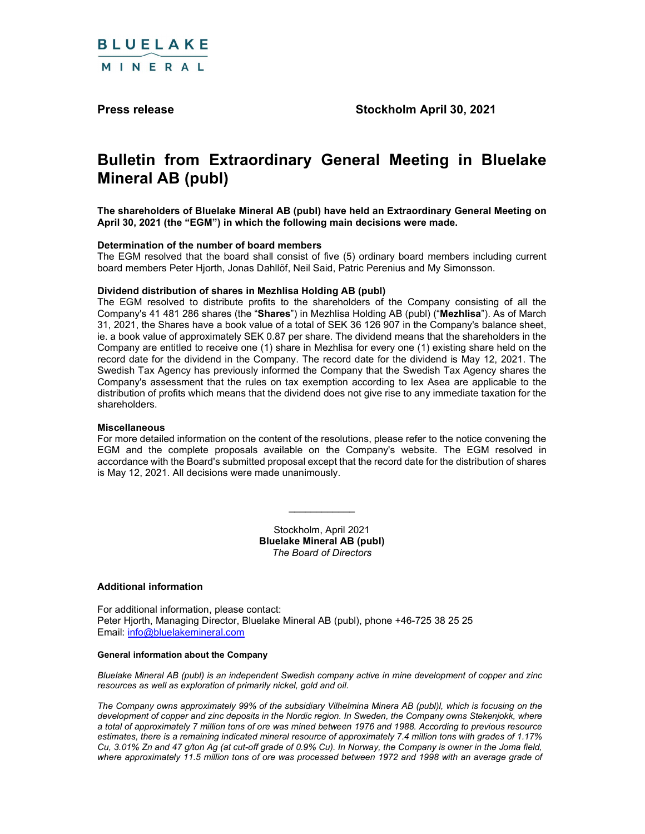

Press release Stockholm April 30, 2021

# Bulletin from Extraordinary General Meeting in Bluelake Mineral AB (publ)

The shareholders of Bluelake Mineral AB (publ) have held an Extraordinary General Meeting on April 30, 2021 (the "EGM") in which the following main decisions were made.

#### Determination of the number of board members

The EGM resolved that the board shall consist of five (5) ordinary board members including current board members Peter Hjorth, Jonas Dahllöf, Neil Said, Patric Perenius and My Simonsson.

#### Dividend distribution of shares in Mezhlisa Holding AB (publ)

The EGM resolved to distribute profits to the shareholders of the Company consisting of all the Company's 41 481 286 shares (the "Shares") in Mezhlisa Holding AB (publ) ("Mezhlisa"). As of March 31, 2021, the Shares have a book value of a total of SEK 36 126 907 in the Company's balance sheet, ie. a book value of approximately SEK 0.87 per share. The dividend means that the shareholders in the Company are entitled to receive one (1) share in Mezhlisa for every one (1) existing share held on the record date for the dividend in the Company. The record date for the dividend is May 12, 2021. The Swedish Tax Agency has previously informed the Company that the Swedish Tax Agency shares the Company's assessment that the rules on tax exemption according to lex Asea are applicable to the distribution of profits which means that the dividend does not give rise to any immediate taxation for the shareholders.

#### Miscellaneous

For more detailed information on the content of the resolutions, please refer to the notice convening the EGM and the complete proposals available on the Company's website. The EGM resolved in accordance with the Board's submitted proposal except that the record date for the distribution of shares is May 12, 2021. All decisions were made unanimously. \_\_\_\_\_\_\_\_\_\_\_\_ Stockholm, April 2021

Bluelake Mineral AB (publ) The Board of Directors

#### Additional information

For additional information, please contact: Peter Hjorth, Managing Director, Bluelake Mineral AB (publ), phone +46-725 38 25 25 Email: info@bluelakemineral.com

## General information about the Company

Bluelake Mineral AB (publ) is an independent Swedish company active in mine development of copper and zinc resources as well as exploration of primarily nickel, gold and oil.

The Company owns approximately 99% of the subsidiary Vilhelmina Minera AB (publ)l, which is focusing on the development of copper and zinc deposits in the Nordic region. In Sweden, the Company owns Stekenjokk, where a total of approximately 7 million tons of ore was mined between 1976 and 1988. According to previous resource estimates, there is a remaining indicated mineral resource of approximately 7.4 million tons with grades of 1.17% Cu, 3.01% Zn and 47 g/ton Ag (at cut-off grade of 0.9% Cu). In Norway, the Company is owner in the Joma field, where approximately 11.5 million tons of ore was processed between 1972 and 1998 with an average grade of